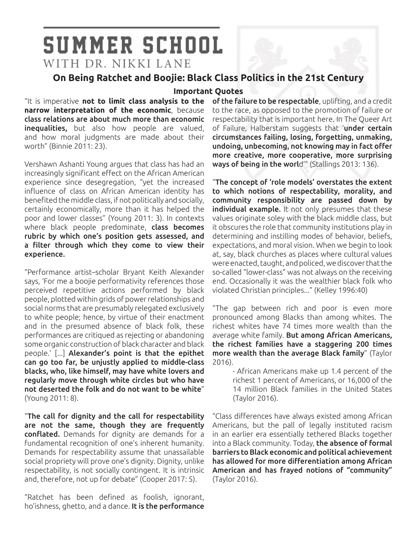# **SUMMER SCHOOL** WITH DR. NIKKI LANE

## **On Being Ratchet and Boojie: Black Class Politics in the 21st Century**

#### **Important Quotes**

"It is imperative **not to limit class analysis to the narrow interpretation of the economic**, because class relations are about much more than economic inequalities, but also how people are valued, and how moral judgments are made about their worth" (Binnie 2011: 23).

Vershawn Ashanti Young argues that class has had an increasingly significant effect on the African American experience since desegregation, "yet the increased influence of class on African American identity has benefited the middle class, if not politically and socially, certainly economically, more than it has helped the poor and lower classes" (Young 2011: 3). In contexts where black people predominate, class becomes rubric by which one's position gets assessed, and a filter through which they come to view their experience.

"Performance artist–scholar Bryant Keith Alexander says, 'For me a boojie performativity references those perceived repetitive actions performed by black people, plotted within grids of power relationships and social norms that are presumably relegated exclusively to white people; hence, by virtue of their enactment and in the presumed absence of black folk, these performances are critiqued as rejecting or abandoning some organic construction of black character and black people.' [...] Alexander's point is that the epithet can go too far, be unjustly applied to middle-class blacks, who, like himself, may have white lovers and regularly move through white circles but who have not deserted the folk and do not want to be white" (Young 2011: 8).

"The call for dignity and the call for respectability are not the same, though they are frequently conflated. Demands for dignity are demands for a fundamental recognition of one's inherent humanity. Demands for respectability assume that unassailable social propriety will prove one's dignity. Dignity, unlike respectability, is not socially contingent. It is intrinsic and, therefore, not up for debate" (Cooper 2017: 5).

"Ratchet has been defined as foolish, ignorant, ho'ishness, ghetto, and a dance. It is the performance

of the failure to be respectable, uplifting, and a credit to the race, as opposed to the promotion of failure or respectability that is important here. In The Queer Art of Failure, Halberstam suggests that 'under certain circumstances failing, losing, forgetting, unmaking, undoing, unbecoming, not knowing may in fact offer more creative, more cooperative, more surprising ways of being in the world'" (Stallings 2013: 136).

"The concept of 'role models' overstates the extent to which notions of respectability, morality, and community responsibility are passed down by individual example. It not only presumes that these values originate soley with the black middle class, but it obscures the role that community institutions play in determining and instilling modes of behavior, beliefs, expectations, and moral vision. When we begin to look at, say, black churches as places where cultural values were enacted, taught, and policed, we discover that the so-called "lower-class" was not always on the receiving end. Occasionally it was the wealthier black folk who violated Christian principles..." (Kelley 1996:40)

"The gap between rich and poor is even more pronounced among Blacks than among whites. The richest whites have 74 times more wealth than the average white family. But among African Americans, the richest families have a staggering 200 times more wealth than the average Black family" (Taylor 2016).

> - African Americans make up 1.4 percent of the richest 1 percent of Americans, or 16,000 of the 14 million Black families in the United States (Taylor 2016).

"Class differences have always existed among African Americans, but the pall of legally instituted racism in an earlier era essentially tethered Blacks together into a Black community. Today, the absence of formal barriers to Black economic and political achievement has allowed for more differentiation among African American and has frayed notions of "community" (Taylor 2016).